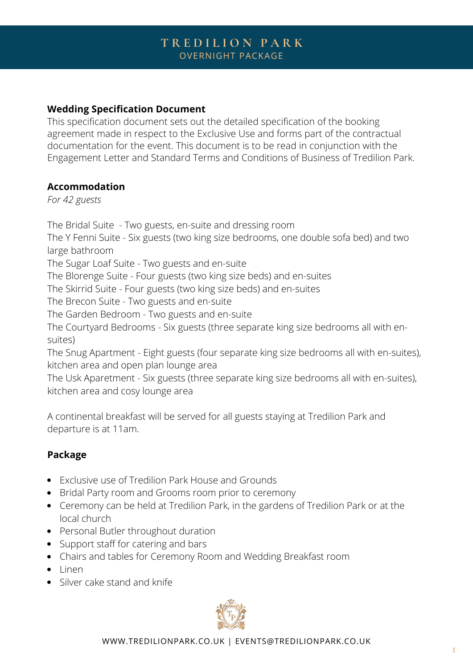# **T R E D I L I O N P A R K** OVERNIGHT PACKAGE

## **Wedding Specification Document**

This specification document sets out the detailed specification of the booking agreement made in respect to the Exclusive Use and forms part of the contractual documentation for the event. This document is to be read in conjunction with the Engagement Letter and Standard Terms and Conditions of Business of Tredilion Park.

### **Accommodation**

*For 42 guests*

The Bridal Suite - Two guests, en-suite and dressing room The Y Fenni Suite - Six guests (two king size bedrooms, one double sofa bed) and two large bathroom The Sugar Loaf Suite - Two guests and en-suite The Blorenge Suite - Four guests (two king size beds) and en-suites The Skirrid Suite - Four guests (two king size beds) and en-suites The Brecon Suite - Two guests and en-suite The Garden Bedroom - Two guests and en-suite The Courtyard Bedrooms - Six guests (three separate king size bedrooms all with ensuites) The Snug Apartment - Eight guests (four separate king size bedrooms all with en-suites), kitchen area and open plan lounge area The Usk Aparetment - Six guests (three separate king size bedrooms all with en-suites),

kitchen area and cosy lounge area

A continental breakfast will be served for all guests staying at Tredilion Park and departure is at 11am.

### **Package**

- Exclusive use of Tredilion Park House and Grounds
- Bridal Party room and Grooms room prior to ceremony
- Ceremony can be held at Tredilion Park, in the gardens of Tredilion Park or at the local church
- Personal Butler throughout duration
- Support staff for catering and bars
- Chairs and tables for Ceremony Room and Wedding Breakfast room
- Linen
- Silver cake stand and knife